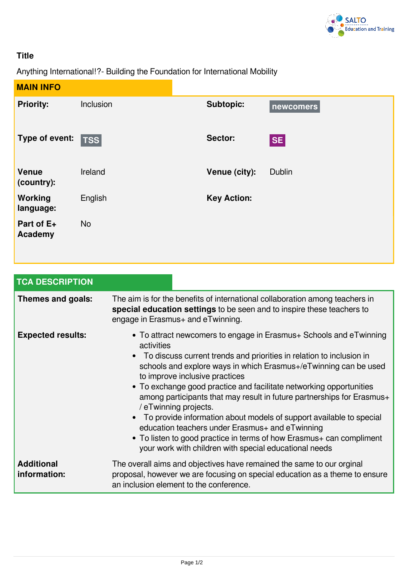

## **Title**

Anything International!?- Building the Foundation for International Mobility

| <b>MAIN INFO</b>            |             |                    |               |
|-----------------------------|-------------|--------------------|---------------|
| <b>Priority:</b>            | Inclusion   | <b>Subtopic:</b>   | newcomers     |
| Type of event:              | $ $ TSS $ $ | Sector:            | <b>SE</b>     |
| <b>Venue</b><br>(country):  | Ireland     | Venue (city):      | <b>Dublin</b> |
| <b>Working</b><br>language: | English     | <b>Key Action:</b> |               |
| Part of E+<br>Academy       | <b>No</b>   |                    |               |

| <b>TCA DESCRIPTION</b>            |                                                                                                                                                                                                                                                                                                                                                                                                                                                                                                                                                                                                                                                                                                                     |  |  |  |
|-----------------------------------|---------------------------------------------------------------------------------------------------------------------------------------------------------------------------------------------------------------------------------------------------------------------------------------------------------------------------------------------------------------------------------------------------------------------------------------------------------------------------------------------------------------------------------------------------------------------------------------------------------------------------------------------------------------------------------------------------------------------|--|--|--|
| Themes and goals:                 | The aim is for the benefits of international collaboration among teachers in<br>special education settings to be seen and to inspire these teachers to<br>engage in Erasmus+ and eTwinning.                                                                                                                                                                                                                                                                                                                                                                                                                                                                                                                         |  |  |  |
| <b>Expected results:</b>          | • To attract newcomers to engage in Erasmus+ Schools and eTwinning<br>activities<br>To discuss current trends and priorities in relation to inclusion in<br>$\bullet$<br>schools and explore ways in which Erasmus+/eTwinning can be used<br>to improve inclusive practices<br>• To exchange good practice and facilitate networking opportunities<br>among participants that may result in future partnerships for Erasmus+<br>/ eTwinning projects.<br>• To provide information about models of support available to special<br>education teachers under Erasmus+ and eTwinning<br>• To listen to good practice in terms of how Erasmus+ can compliment<br>your work with children with special educational needs |  |  |  |
| <b>Additional</b><br>information: | The overall aims and objectives have remained the same to our orginal<br>proposal, however we are focusing on special education as a theme to ensure<br>an inclusion element to the conference.                                                                                                                                                                                                                                                                                                                                                                                                                                                                                                                     |  |  |  |